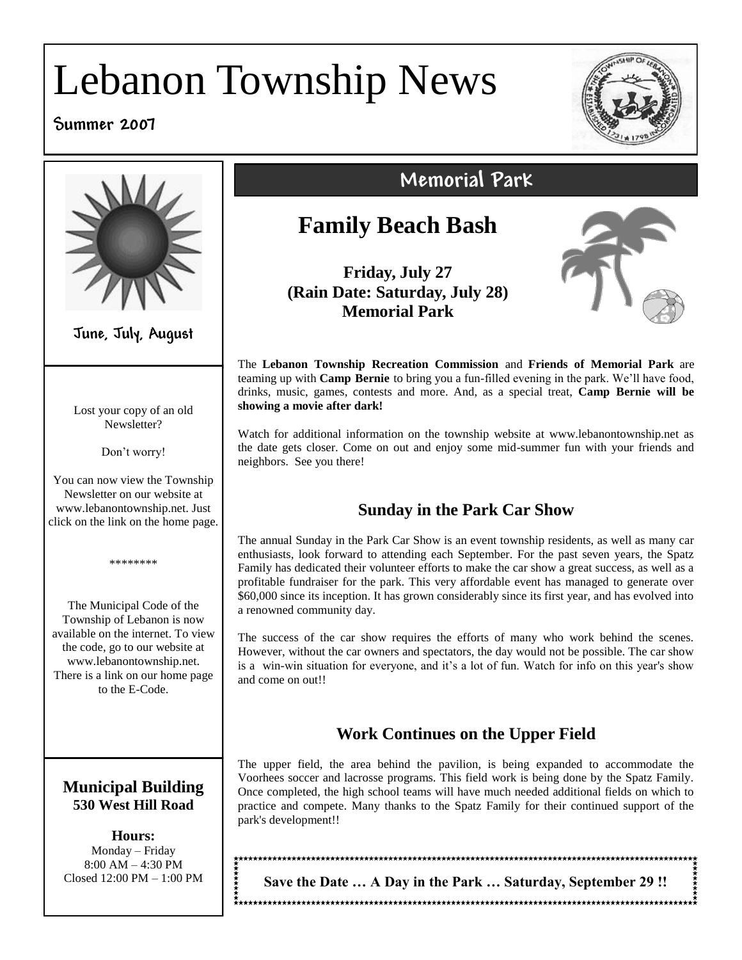# Lebanon Township News

#### **Summer 2007**





**June, July, August**

Lost your copy of an old Newsletter?

Don't worry!

You can now view the Township Newsletter on our website at www.lebanontownship.net. Just click on the link on the home page.

\*\*\*\*\*\*\*\*

The Municipal Code of the Township of Lebanon is now available on the internet. To view the code, go to our website at www.lebanontownship.net. There is a link on our home page to the E-Code.

#### **Municipal Building 530 West Hill Road**

**Hours:** Monday – Friday 8:00 AM – 4:30 PM Closed 12:00 PM – 1:00 PM

# **Memorial Park**

## **Family Beach Bash**

**Friday, July 27 (Rain Date: Saturday, July 28) Memorial Park**



The **Lebanon Township Recreation Commission** and **Friends of Memorial Park** are teaming up with **Camp Bernie** to bring you a fun-filled evening in the park. We'll have food, drinks, music, games, contests and more. And, as a special treat, **Camp Bernie will be showing a movie after dark!**

Watch for additional information on the township website at www.lebanontownship.net as the date gets closer. Come on out and enjoy some mid-summer fun with your friends and neighbors. See you there!

#### **Sunday in the Park Car Show**

The annual Sunday in the Park Car Show is an event township residents, as well as many car enthusiasts, look forward to attending each September. For the past seven years, the Spatz Family has dedicated their volunteer efforts to make the car show a great success, as well as a profitable fundraiser for the park. This very affordable event has managed to generate over \$60,000 since its inception. It has grown considerably since its first year, and has evolved into a renowned community day.

The success of the car show requires the efforts of many who work behind the scenes. However, without the car owners and spectators, the day would not be possible. The car show is a win-win situation for everyone, and it's a lot of fun. Watch for info on this year's show and come on out!!

#### **Work Continues on the Upper Field**

The upper field, the area behind the pavilion, is being expanded to accommodate the Voorhees soccer and lacrosse programs. This field work is being done by the Spatz Family. Once completed, the high school teams will have much needed additional fields on which to practice and compete. Many thanks to the Spatz Family for their continued support of the park's development!!

**Save the Date … A Day in the Park … Saturday, September 29 !!**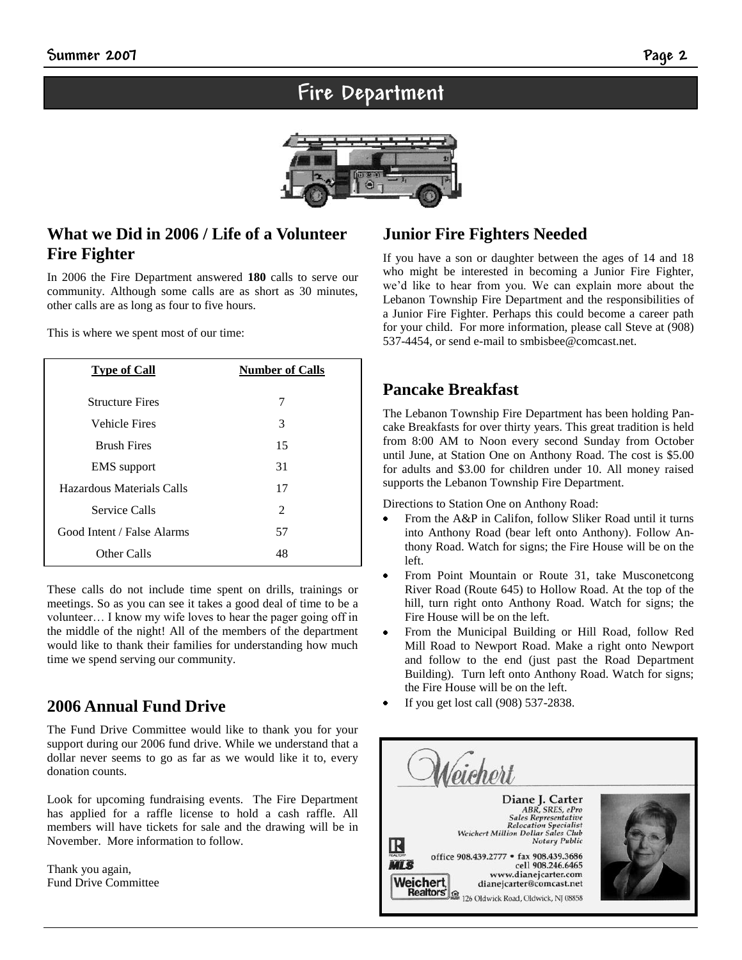## **Fire Department**



#### **What we Did in 2006 / Life of a Volunteer Fire Fighter**

In 2006 the Fire Department answered **180** calls to serve our community. Although some calls are as short as 30 minutes, other calls are as long as four to five hours.

This is where we spent most of our time:

| <b>Type of Call</b>        | <b>Number of Calls</b> |
|----------------------------|------------------------|
| <b>Structure Fires</b>     | 7                      |
| <b>Vehicle Fires</b>       | 3                      |
| <b>Brush Fires</b>         | 15                     |
| <b>EMS</b> support         | 31                     |
| Hazardous Materials Calls  | 17                     |
| <b>Service Calls</b>       | 2                      |
| Good Intent / False Alarms | 57                     |
| Other Calls                | 48                     |

These calls do not include time spent on drills, trainings or meetings. So as you can see it takes a good deal of time to be a volunteer… I know my wife loves to hear the pager going off in the middle of the night! All of the members of the department would like to thank their families for understanding how much time we spend serving our community.

#### **2006 Annual Fund Drive**

The Fund Drive Committee would like to thank you for your support during our 2006 fund drive. While we understand that a dollar never seems to go as far as we would like it to, every donation counts.

Look for upcoming fundraising events. The Fire Department has applied for a raffle license to hold a cash raffle. All members will have tickets for sale and the drawing will be in November. More information to follow.

Thank you again, Fund Drive Committee

#### **Junior Fire Fighters Needed**

If you have a son or daughter between the ages of 14 and 18 who might be interested in becoming a Junior Fire Fighter, we'd like to hear from you. We can explain more about the Lebanon Township Fire Department and the responsibilities of a Junior Fire Fighter. Perhaps this could become a career path for your child. For more information, please call Steve at (908) 537-4454, or send e-mail to smbisbee@comcast.net.

#### **Pancake Breakfast**

The Lebanon Township Fire Department has been holding Pancake Breakfasts for over thirty years. This great tradition is held from 8:00 AM to Noon every second Sunday from October until June, at Station One on Anthony Road. The cost is \$5.00 for adults and \$3.00 for children under 10. All money raised supports the Lebanon Township Fire Department.

Directions to Station One on Anthony Road:

- From the A&P in Califon, follow Sliker Road until it turns into Anthony Road (bear left onto Anthony). Follow Anthony Road. Watch for signs; the Fire House will be on the left.
- $\bullet$ From Point Mountain or Route 31, take Musconetcong River Road (Route 645) to Hollow Road. At the top of the hill, turn right onto Anthony Road. Watch for signs; the Fire House will be on the left.
- From the Municipal Building or Hill Road, follow Red Mill Road to Newport Road. Make a right onto Newport and follow to the end (just past the Road Department Building). Turn left onto Anthony Road. Watch for signs; the Fire House will be on the left.
- If you get lost call (908) 537-2838.

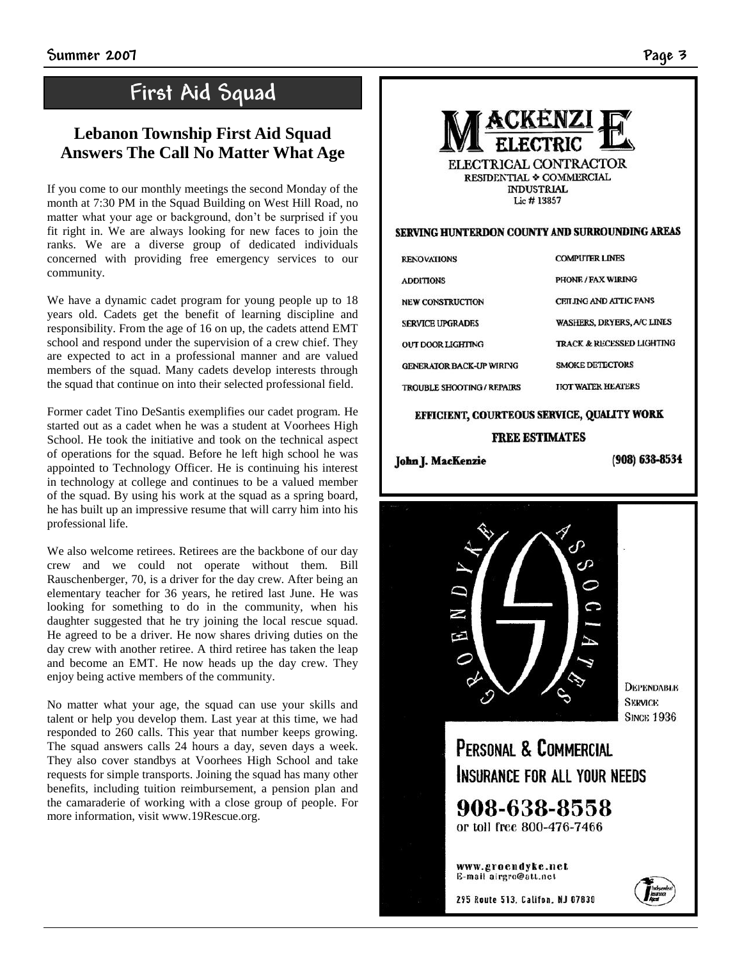## **First Aid Squad**

#### **Lebanon Township First Aid Squad Answers The Call No Matter What Age**

If you come to our monthly meetings the second Monday of the month at 7:30 PM in the Squad Building on West Hill Road, no matter what your age or background, don't be surprised if you fit right in. We are always looking for new faces to join the ranks. We are a diverse group of dedicated individuals concerned with providing free emergency services to our community.

We have a dynamic cadet program for young people up to 18 years old. Cadets get the benefit of learning discipline and responsibility. From the age of 16 on up, the cadets attend EMT school and respond under the supervision of a crew chief. They are expected to act in a professional manner and are valued members of the squad. Many cadets develop interests through the squad that continue on into their selected professional field.

Former cadet Tino DeSantis exemplifies our cadet program. He started out as a cadet when he was a student at Voorhees High School. He took the initiative and took on the technical aspect of operations for the squad. Before he left high school he was appointed to Technology Officer. He is continuing his interest in technology at college and continues to be a valued member of the squad. By using his work at the squad as a spring board, he has built up an impressive resume that will carry him into his professional life.

We also welcome retirees. Retirees are the backbone of our day crew and we could not operate without them. Bill Rauschenberger, 70, is a driver for the day crew. After being an elementary teacher for 36 years, he retired last June. He was looking for something to do in the community, when his daughter suggested that he try joining the local rescue squad. He agreed to be a driver. He now shares driving duties on the day crew with another retiree. A third retiree has taken the leap and become an EMT. He now heads up the day crew. They enjoy being active members of the community.

No matter what your age, the squad can use your skills and talent or help you develop them. Last year at this time, we had responded to 260 calls. This year that number keeps growing. The squad answers calls 24 hours a day, seven days a week. They also cover standbys at Voorhees High School and take requests for simple transports. Joining the squad has many other benefits, including tuition reimbursement, a pension plan and the camaraderie of working with a close group of people. For more information, visit www.19Rescue.org.



#### SERVING HUNTERDON COUNTY AND SURROUNDING AREAS

| <b>RENOVATIONS</b>                | <b>COMPUTER LINES</b>                |
|-----------------------------------|--------------------------------------|
| <b>ADDITIONS</b>                  | <b>PHONE / FAX WIRING</b>            |
| <b>NEW CONSTRUCTION</b>           | CEILING AND ATTIC FANS               |
| <b>SERVICE UPGRADES</b>           | WASHERS, DRYERS, A/C LINES           |
| OUT DOOR LIGHTING                 | <b>TRACK &amp; RECESSED LIGHTING</b> |
| <b>GENERATOR BACK-UP WIRING</b>   | <b>SMOKE DETECTORS</b>               |
| <b>TROUBLE SHOOTING / REPAIRS</b> | <b>HOT WATER HEATERS</b>             |

#### EFFICIENT, COURTEOUS SERVICE, QUALITY WORK **FREE ESTIMATES**

John J. MacKenzie

(908) 638-8534



*<u>DEPENDABLE</u>* **SERVICE SINCK 1936** 

PERSONAL & COMMERCIAL INSURANCE FOR ALL YOUR NEEDS

908-638-8558 or toll free 800-476-7466

www.groendyke.net E-mail airgro@att.nct

295 Route 513, Califon, NJ 07830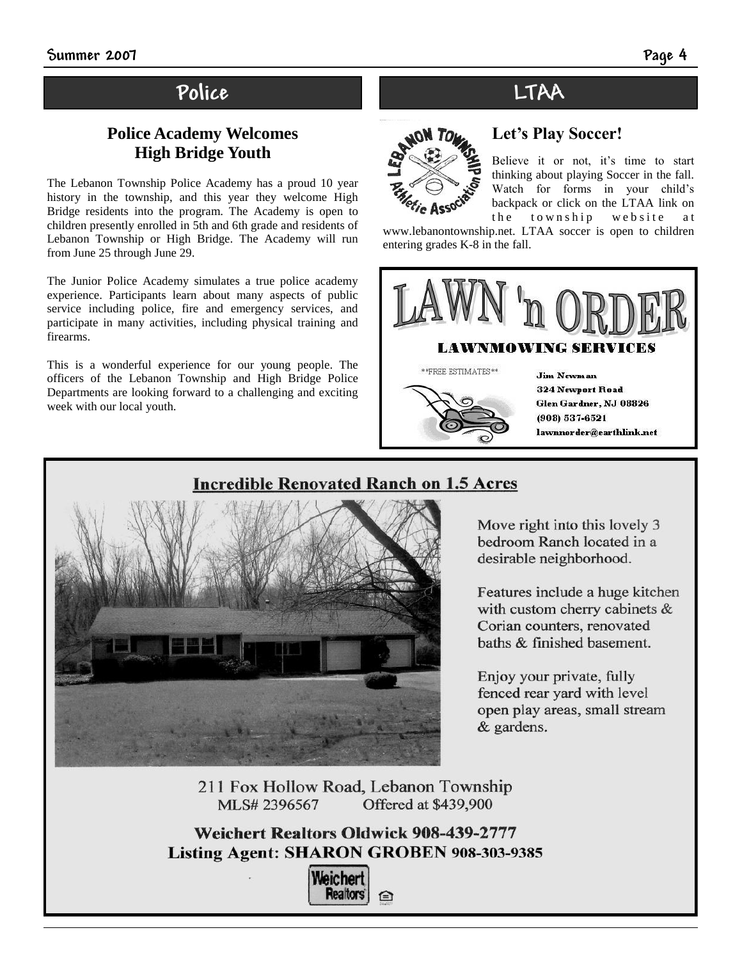## **Police LTAA**

#### **Police Academy Welcomes High Bridge Youth**

The Lebanon Township Police Academy has a proud 10 year history in the township, and this year they welcome High Bridge residents into the program. The Academy is open to children presently enrolled in 5th and 6th grade and residents of Lebanon Township or High Bridge. The Academy will run from June 25 through June 29.

The Junior Police Academy simulates a true police academy experience. Participants learn about many aspects of public service including police, fire and emergency services, and participate in many activities, including physical training and firearms.

This is a wonderful experience for our young people. The officers of the Lebanon Township and High Bridge Police Departments are looking forward to a challenging and exciting week with our local youth.

## **Let's Play Soccer!**



#### Believe it or not, it's time to start thinking about playing Soccer in the fall. Watch for forms in your child's backpack or click on the LTAA link on the township website at

www.lebanontownship.net. LTAA soccer is open to children entering grades K-8 in the fall.



 $**$  FREE ESTIMATES  $**$ 



**Jim Newman 324 Newport Road** Glen Gardner, NJ 08826 (908) 537-6521 lawnnorder@earthlink.net

### **Incredible Renovated Ranch on 1.5 Acres**



Move right into this lovely 3 bedroom Ranch located in a desirable neighborhood.

Features include a huge kitchen with custom cherry cabinets & Corian counters, renovated baths & finished basement.

Enjoy your private, fully fenced rear yard with level open play areas, small stream & gardens.

211 Fox Hollow Road, Lebanon Township MLS# 2396567 Offered at \$439,900

**Weichert Realtors Oldwick 908-439-2777** Listing Agent: SHARON GROBEN 908-303-9385

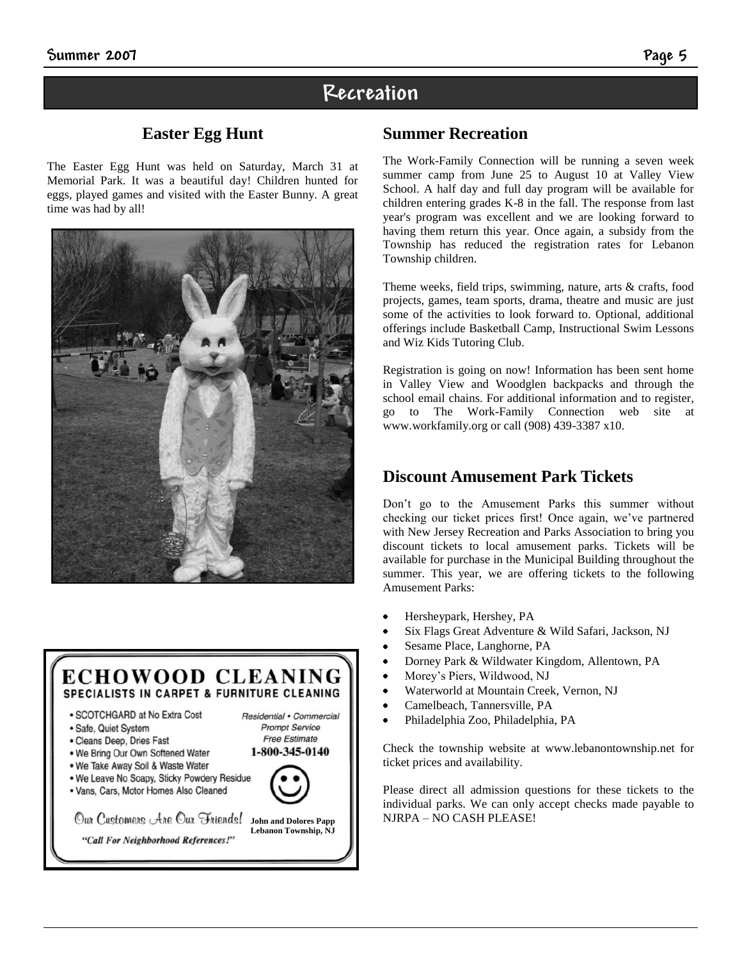#### **Easter Egg Hunt**

The Easter Egg Hunt was held on Saturday, March 31 at Memorial Park. It was a beautiful day! Children hunted for eggs, played games and visited with the Easter Bunny. A great time was had by all!





. Vans, Cars, Motor Homes Also Cleaned

Our Customers Are Our Friends! **John and Dolores Papp Lebanon Township, NJ** "Call For Neighborhood References!"

**Summer Recreation**

**Recreation**

The Work-Family Connection will be running a seven week summer camp from June 25 to August 10 at Valley View School. A half day and full day program will be available for children entering grades K-8 in the fall. The response from last year's program was excellent and we are looking forward to having them return this year. Once again, a subsidy from the Township has reduced the registration rates for Lebanon Township children.

Theme weeks, field trips, swimming, nature, arts & crafts, food projects, games, team sports, drama, theatre and music are just some of the activities to look forward to. Optional, additional offerings include Basketball Camp, Instructional Swim Lessons and Wiz Kids Tutoring Club.

Registration is going on now! Information has been sent home in Valley View and Woodglen backpacks and through the school email chains. For additional information and to register, go to The Work-Family Connection web site at www.workfamily.org or call (908) 439-3387 x10.

#### **Discount Amusement Park Tickets**

Don't go to the Amusement Parks this summer without checking our ticket prices first! Once again, we've partnered with New Jersey Recreation and Parks Association to bring you discount tickets to local amusement parks. Tickets will be available for purchase in the Municipal Building throughout the summer. This year, we are offering tickets to the following Amusement Parks:

- Hersheypark, Hershey, PA
- Six Flags Great Adventure & Wild Safari, Jackson, NJ
- Sesame Place, Langhorne, PA
- Dorney Park & Wildwater Kingdom, Allentown, PA
- Morey's Piers, Wildwood, NJ
- Waterworld at Mountain Creek, Vernon, NJ
- Camelbeach, Tannersville, PA
- Philadelphia Zoo, Philadelphia, PA

Check the township website at www.lebanontownship.net for ticket prices and availability.

Please direct all admission questions for these tickets to the individual parks. We can only accept checks made payable to NJRPA – NO CASH PLEASE!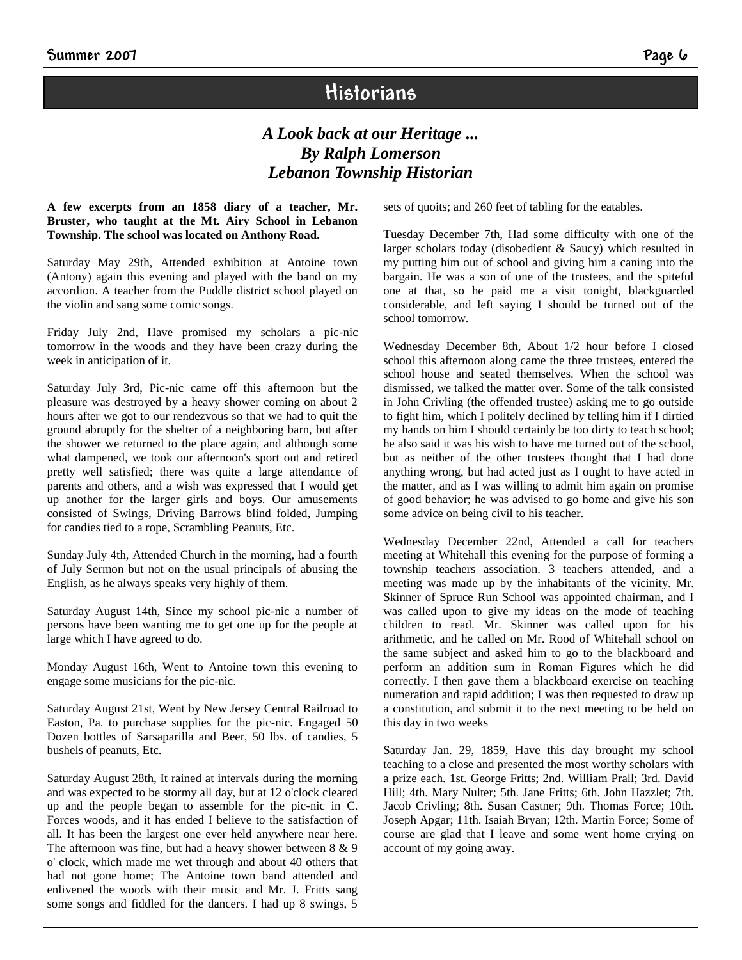## **Historians**

#### *A Look back at our Heritage ... By Ralph Lomerson Lebanon Township Historian*

#### **A few excerpts from an 1858 diary of a teacher, Mr. Bruster, who taught at the Mt. Airy School in Lebanon Township. The school was located on Anthony Road.**

Saturday May 29th, Attended exhibition at Antoine town (Antony) again this evening and played with the band on my accordion. A teacher from the Puddle district school played on the violin and sang some comic songs.

Friday July 2nd, Have promised my scholars a pic-nic tomorrow in the woods and they have been crazy during the week in anticipation of it.

Saturday July 3rd, Pic-nic came off this afternoon but the pleasure was destroyed by a heavy shower coming on about 2 hours after we got to our rendezvous so that we had to quit the ground abruptly for the shelter of a neighboring barn, but after the shower we returned to the place again, and although some what dampened, we took our afternoon's sport out and retired pretty well satisfied; there was quite a large attendance of parents and others, and a wish was expressed that I would get up another for the larger girls and boys. Our amusements consisted of Swings, Driving Barrows blind folded, Jumping for candies tied to a rope, Scrambling Peanuts, Etc.

Sunday July 4th, Attended Church in the morning, had a fourth of July Sermon but not on the usual principals of abusing the English, as he always speaks very highly of them.

Saturday August 14th, Since my school pic-nic a number of persons have been wanting me to get one up for the people at large which I have agreed to do.

Monday August 16th, Went to Antoine town this evening to engage some musicians for the pic-nic.

Saturday August 21st, Went by New Jersey Central Railroad to Easton, Pa. to purchase supplies for the pic-nic. Engaged 50 Dozen bottles of Sarsaparilla and Beer, 50 lbs. of candies, 5 bushels of peanuts, Etc.

Saturday August 28th, It rained at intervals during the morning and was expected to be stormy all day, but at 12 o'clock cleared up and the people began to assemble for the pic-nic in C. Forces woods, and it has ended I believe to the satisfaction of all. It has been the largest one ever held anywhere near here. The afternoon was fine, but had a heavy shower between 8 & 9 o' clock, which made me wet through and about 40 others that had not gone home; The Antoine town band attended and enlivened the woods with their music and Mr. J. Fritts sang some songs and fiddled for the dancers. I had up 8 swings, 5 sets of quoits; and 260 feet of tabling for the eatables.

Tuesday December 7th, Had some difficulty with one of the larger scholars today (disobedient & Saucy) which resulted in my putting him out of school and giving him a caning into the bargain. He was a son of one of the trustees, and the spiteful one at that, so he paid me a visit tonight, blackguarded considerable, and left saying I should be turned out of the school tomorrow.

Wednesday December 8th, About 1/2 hour before I closed school this afternoon along came the three trustees, entered the school house and seated themselves. When the school was dismissed, we talked the matter over. Some of the talk consisted in John Crivling (the offended trustee) asking me to go outside to fight him, which I politely declined by telling him if I dirtied my hands on him I should certainly be too dirty to teach school; he also said it was his wish to have me turned out of the school, but as neither of the other trustees thought that I had done anything wrong, but had acted just as I ought to have acted in the matter, and as I was willing to admit him again on promise of good behavior; he was advised to go home and give his son some advice on being civil to his teacher.

Wednesday December 22nd, Attended a call for teachers meeting at Whitehall this evening for the purpose of forming a township teachers association. 3 teachers attended, and a meeting was made up by the inhabitants of the vicinity. Mr. Skinner of Spruce Run School was appointed chairman, and I was called upon to give my ideas on the mode of teaching children to read. Mr. Skinner was called upon for his arithmetic, and he called on Mr. Rood of Whitehall school on the same subject and asked him to go to the blackboard and perform an addition sum in Roman Figures which he did correctly. I then gave them a blackboard exercise on teaching numeration and rapid addition; I was then requested to draw up a constitution, and submit it to the next meeting to be held on this day in two weeks

Saturday Jan. 29, 1859, Have this day brought my school teaching to a close and presented the most worthy scholars with a prize each. 1st. George Fritts; 2nd. William Prall; 3rd. David Hill; 4th. Mary Nulter; 5th. Jane Fritts; 6th. John Hazzlet; 7th. Jacob Crivling; 8th. Susan Castner; 9th. Thomas Force; 10th. Joseph Apgar; 11th. Isaiah Bryan; 12th. Martin Force; Some of course are glad that I leave and some went home crying on account of my going away.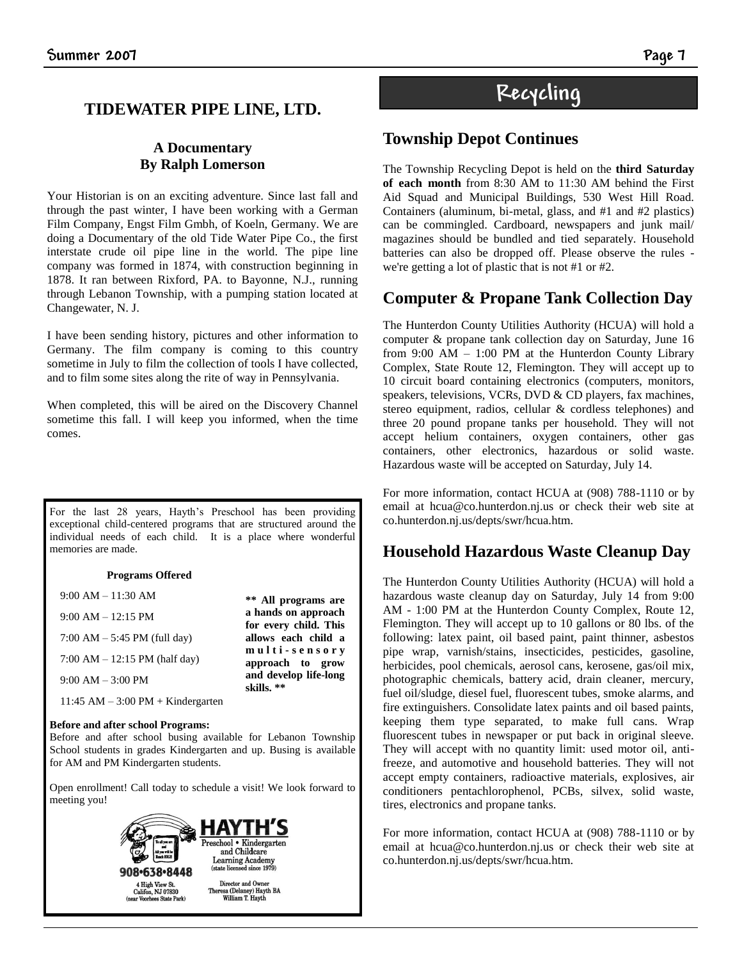#### **TIDEWATER PIPE LINE, LTD.**

#### **A Documentary By Ralph Lomerson**

Your Historian is on an exciting adventure. Since last fall and through the past winter, I have been working with a German Film Company, Engst Film Gmbh, of Koeln, Germany. We are doing a Documentary of the old Tide Water Pipe Co., the first interstate crude oil pipe line in the world. The pipe line company was formed in 1874, with construction beginning in 1878. It ran between Rixford, PA. to Bayonne, N.J., running through Lebanon Township, with a pumping station located at Changewater, N. J.

I have been sending history, pictures and other information to Germany. The film company is coming to this country sometime in July to film the collection of tools I have collected, and to film some sites along the rite of way in Pennsylvania.

When completed, this will be aired on the Discovery Channel sometime this fall. I will keep you informed, when the time comes.

For the last 28 years, Hayth's Preschool has been providing exceptional child-centered programs that are structured around the individual needs of each child. It is a place where wonderful memories are made.

#### **Programs Offered**

| $9:00 AM - 11:30 AM$                   | ** All programs are                          |
|----------------------------------------|----------------------------------------------|
| $9:00 AM - 12:15 PM$                   | a hands on approach<br>for every child. This |
| 7:00 AM $-$ 5:45 PM (full day)         | allows each child a                          |
| 7:00 AM $- 12:15$ PM (half day)        | multi-sensory<br>approach to grow            |
| $9:00 AM - 3:00 PM$                    | and develop life-long<br>skills. **          |
| $11:45$ AM $-3:00$ PM $+$ Kindergarten |                                              |

#### **Before and after school Programs:**

Before and after school busing available for Lebanon Township School students in grades Kindergarten and up. Busing is available for AM and PM Kindergarten students.

Open enrollment! Call today to schedule a visit! We look forward to meeting you!



## **Recycling**

#### **Township Depot Continues**

The Township Recycling Depot is held on the **third Saturday of each month** from 8:30 AM to 11:30 AM behind the First Aid Squad and Municipal Buildings, 530 West Hill Road. Containers (aluminum, bi-metal, glass, and #1 and #2 plastics) can be commingled. Cardboard, newspapers and junk mail/ magazines should be bundled and tied separately. Household batteries can also be dropped off. Please observe the rules we're getting a lot of plastic that is not #1 or #2.

#### **Computer & Propane Tank Collection Day**

The Hunterdon County Utilities Authority (HCUA) will hold a computer & propane tank collection day on Saturday, June 16 from  $9:00$  AM  $- 1:00$  PM at the Hunterdon County Library Complex, State Route 12, Flemington. They will accept up to 10 circuit board containing electronics (computers, monitors, speakers, televisions, VCRs, DVD & CD players, fax machines, stereo equipment, radios, cellular & cordless telephones) and three 20 pound propane tanks per household. They will not accept helium containers, oxygen containers, other gas containers, other electronics, hazardous or solid waste. Hazardous waste will be accepted on Saturday, July 14.

For more information, contact HCUA at (908) 788-1110 or by email at hcua@co.hunterdon.nj.us or check their web site at co.hunterdon.nj.us/depts/swr/hcua.htm.

#### **Household Hazardous Waste Cleanup Day**

The Hunterdon County Utilities Authority (HCUA) will hold a hazardous waste cleanup day on Saturday, July 14 from 9:00 AM - 1:00 PM at the Hunterdon County Complex, Route 12, Flemington. They will accept up to 10 gallons or 80 lbs. of the following: latex paint, oil based paint, paint thinner, asbestos pipe wrap, varnish/stains, insecticides, pesticides, gasoline, herbicides, pool chemicals, aerosol cans, kerosene, gas/oil mix, photographic chemicals, battery acid, drain cleaner, mercury, fuel oil/sludge, diesel fuel, fluorescent tubes, smoke alarms, and fire extinguishers. Consolidate latex paints and oil based paints, keeping them type separated, to make full cans. Wrap fluorescent tubes in newspaper or put back in original sleeve. They will accept with no quantity limit: used motor oil, antifreeze, and automotive and household batteries. They will not accept empty containers, radioactive materials, explosives, air conditioners pentachlorophenol, PCBs, silvex, solid waste, tires, electronics and propane tanks.

For more information, contact HCUA at (908) 788-1110 or by email at hcua@co.hunterdon.nj.us or check their web site at co.hunterdon.nj.us/depts/swr/hcua.htm.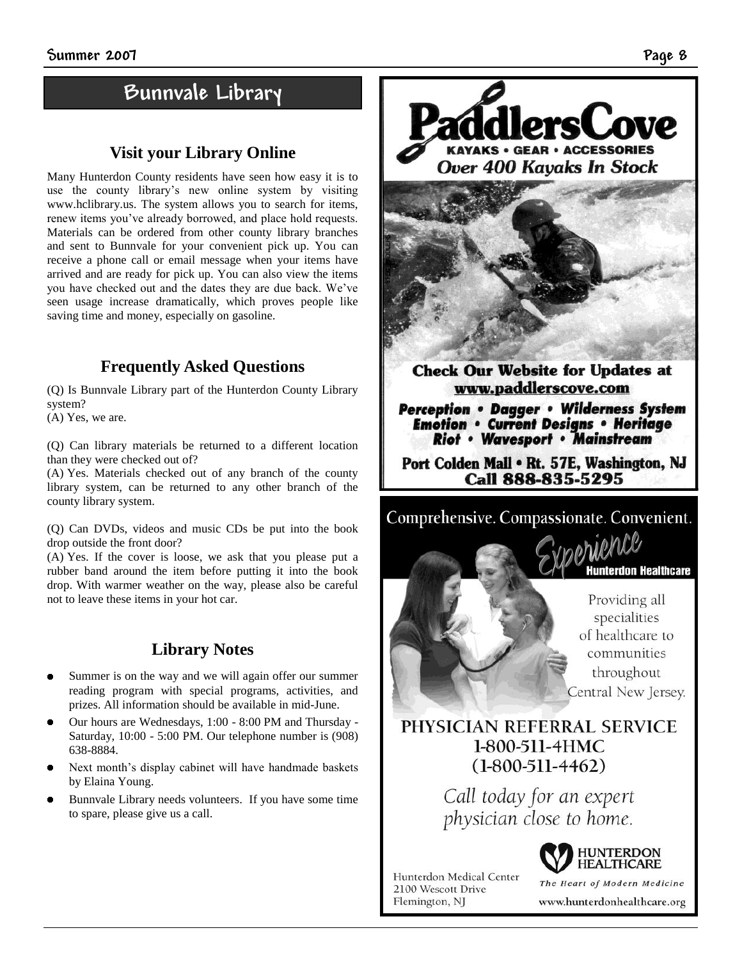## **Bunnvale Library**

#### **Visit your Library Online**

Many Hunterdon County residents have seen how easy it is to use the county library's new online system by visiting www.hclibrary.us. The system allows you to search for items, renew items you've already borrowed, and place hold requests. Materials can be ordered from other county library branches and sent to Bunnvale for your convenient pick up. You can receive a phone call or email message when your items have arrived and are ready for pick up. You can also view the items you have checked out and the dates they are due back. We've seen usage increase dramatically, which proves people like saving time and money, especially on gasoline.

#### **Frequently Asked Questions**

(Q) Is Bunnvale Library part of the Hunterdon County Library system?

(A) Yes, we are.

(Q) Can library materials be returned to a different location than they were checked out of?

(A) Yes. Materials checked out of any branch of the county library system, can be returned to any other branch of the county library system.

(Q) Can DVDs, videos and music CDs be put into the book drop outside the front door?

(A) Yes. If the cover is loose, we ask that you please put a rubber band around the item before putting it into the book drop. With warmer weather on the way, please also be careful not to leave these items in your hot car.

#### **Library Notes**

- Summer is on the way and we will again offer our summer reading program with special programs, activities, and prizes. All information should be available in mid-June.
- Our hours are Wednesdays, 1:00 8:00 PM and Thursday Saturday, 10:00 - 5:00 PM. Our telephone number is (908) 638-8884.
- Next month's display cabinet will have handmade baskets by Elaina Young.
- Bunnvale Library needs volunteers. If you have some time to spare, please give us a call.





**Check Our Website for Updates at** www.paddlerscove.com

**Perception • Dagger • Wilderness System Emotion • Current Designs • Heritage** Riot • Wavesport • Mainstream

Port Colden Mall . Rt. 57E, Washington, NJ Call 888-835-5295



Providing all specialities of healthcare to communities throughout Central New Jersey.

**Hunterdon Healthcare** 

#### PHYSICIAN REFERRAL SERVICE 1-800-511-4HMC  $(1-800-511-4462)$

Call today for an expert physician close to home.

Hunterdon Medical Center 2100 Wescott Drive Flemington, NJ



The Heart of Modern Medicine www.hunterdonhealthcare.org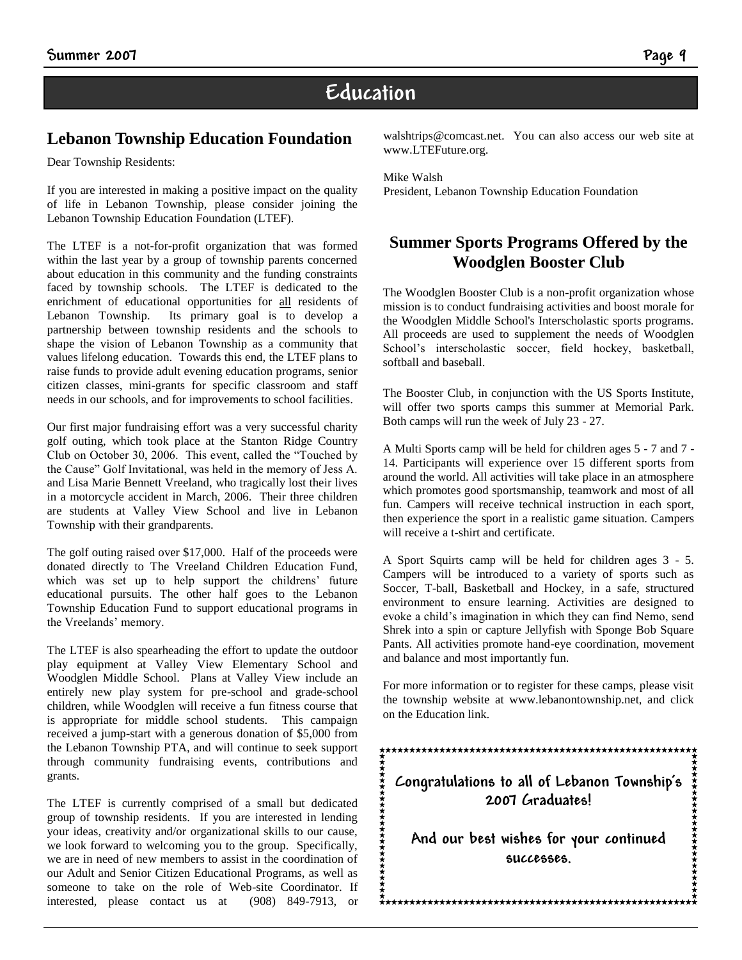## **Education**

#### **Lebanon Township Education Foundation**

Dear Township Residents:

If you are interested in making a positive impact on the quality of life in Lebanon Township, please consider joining the Lebanon Township Education Foundation (LTEF).

The LTEF is a not-for-profit organization that was formed within the last year by a group of township parents concerned about education in this community and the funding constraints faced by township schools. The LTEF is dedicated to the enrichment of educational opportunities for all residents of Lebanon Township. Its primary goal is to develop a partnership between township residents and the schools to shape the vision of Lebanon Township as a community that values lifelong education. Towards this end, the LTEF plans to raise funds to provide adult evening education programs, senior citizen classes, mini-grants for specific classroom and staff needs in our schools, and for improvements to school facilities.

Our first major fundraising effort was a very successful charity golf outing, which took place at the Stanton Ridge Country Club on October 30, 2006. This event, called the "Touched by the Cause" Golf Invitational, was held in the memory of Jess A. and Lisa Marie Bennett Vreeland, who tragically lost their lives in a motorcycle accident in March, 2006. Their three children are students at Valley View School and live in Lebanon Township with their grandparents.

The golf outing raised over \$17,000. Half of the proceeds were donated directly to The Vreeland Children Education Fund, which was set up to help support the childrens' future educational pursuits. The other half goes to the Lebanon Township Education Fund to support educational programs in the Vreelands' memory.

The LTEF is also spearheading the effort to update the outdoor play equipment at Valley View Elementary School and Woodglen Middle School. Plans at Valley View include an entirely new play system for pre-school and grade-school children, while Woodglen will receive a fun fitness course that is appropriate for middle school students. This campaign received a jump-start with a generous donation of \$5,000 from the Lebanon Township PTA, and will continue to seek support through community fundraising events, contributions and grants.

The LTEF is currently comprised of a small but dedicated group of township residents. If you are interested in lending your ideas, creativity and/or organizational skills to our cause, we look forward to welcoming you to the group. Specifically, we are in need of new members to assist in the coordination of our Adult and Senior Citizen Educational Programs, as well as someone to take on the role of Web-site Coordinator. If interested, please contact us at (908) 849-7913, or walshtrips@comcast.net. You can also access our web site at www.LTEFuture.org.

Mike Walsh President, Lebanon Township Education Foundation

#### **Summer Sports Programs Offered by the Woodglen Booster Club**

The Woodglen Booster Club is a non-profit organization whose mission is to conduct fundraising activities and boost morale for the Woodglen Middle School's Interscholastic sports programs. All proceeds are used to supplement the needs of Woodglen School's interscholastic soccer, field hockey, basketball, softball and baseball.

The Booster Club, in conjunction with the US Sports Institute, will offer two sports camps this summer at Memorial Park. Both camps will run the week of July 23 - 27.

A Multi Sports camp will be held for children ages 5 - 7 and 7 - 14. Participants will experience over 15 different sports from around the world. All activities will take place in an atmosphere which promotes good sportsmanship, teamwork and most of all fun. Campers will receive technical instruction in each sport, then experience the sport in a realistic game situation. Campers will receive a t-shirt and certificate.

A Sport Squirts camp will be held for children ages 3 - 5. Campers will be introduced to a variety of sports such as Soccer, T-ball, Basketball and Hockey, in a safe, structured environment to ensure learning. Activities are designed to evoke a child's imagination in which they can find Nemo, send Shrek into a spin or capture Jellyfish with Sponge Bob Square Pants. All activities promote hand-eye coordination, movement and balance and most importantly fun.

For more information or to register for these camps, please visit the township website at www.lebanontownship.net, and click on the Education link.

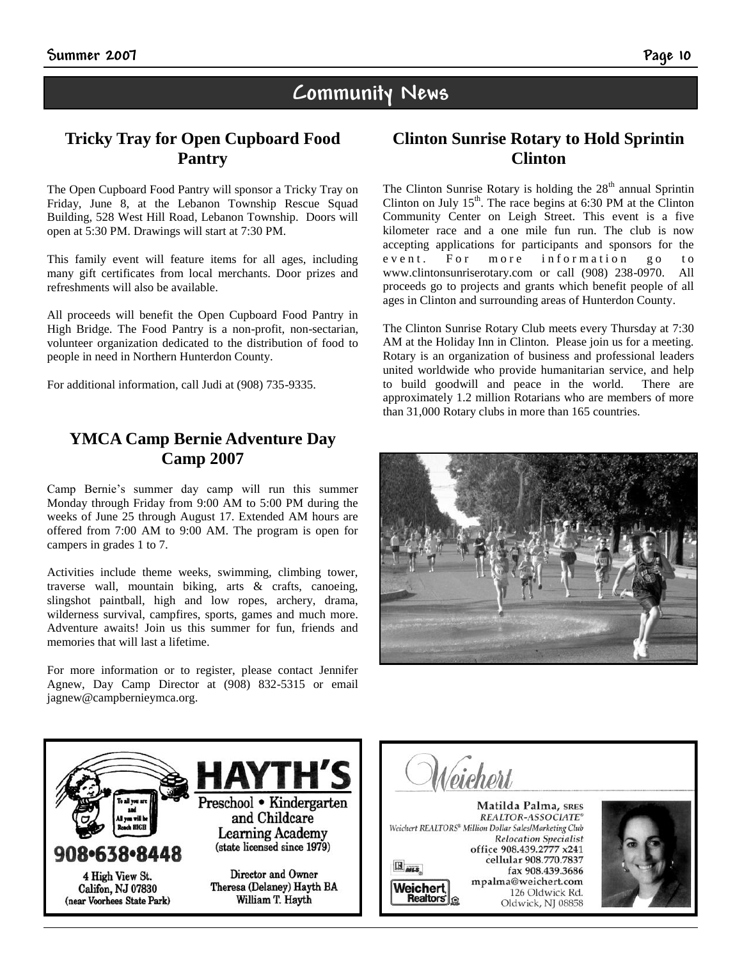### **Community News**

#### **Tricky Tray for Open Cupboard Food Pantry**

The Open Cupboard Food Pantry will sponsor a Tricky Tray on Friday, June 8, at the Lebanon Township Rescue Squad Building, 528 West Hill Road, Lebanon Township. Doors will open at 5:30 PM. Drawings will start at 7:30 PM.

This family event will feature items for all ages, including many gift certificates from local merchants. Door prizes and refreshments will also be available.

All proceeds will benefit the Open Cupboard Food Pantry in High Bridge. The Food Pantry is a non-profit, non-sectarian, volunteer organization dedicated to the distribution of food to people in need in Northern Hunterdon County.

For additional information, call Judi at (908) 735-9335.

#### **YMCA Camp Bernie Adventure Day Camp 2007**

Camp Bernie's summer day camp will run this summer Monday through Friday from 9:00 AM to 5:00 PM during the weeks of June 25 through August 17. Extended AM hours are offered from 7:00 AM to 9:00 AM. The program is open for campers in grades 1 to 7.

Activities include theme weeks, swimming, climbing tower, traverse wall, mountain biking, arts & crafts, canoeing, slingshot paintball, high and low ropes, archery, drama, wilderness survival, campfires, sports, games and much more. Adventure awaits! Join us this summer for fun, friends and memories that will last a lifetime.

For more information or to register, please contact Jennifer Agnew, Day Camp Director at (908) 832-5315 or email jagnew@campbernieymca.org.

#### **Clinton Sunrise Rotary to Hold Sprintin Clinton**

The Clinton Sunrise Rotary is holding the  $28<sup>th</sup>$  annual Sprintin Clinton on July  $15<sup>th</sup>$ . The race begins at 6:30 PM at the Clinton Community Center on Leigh Street. This event is a five kilometer race and a one mile fun run. The club is now accepting applications for participants and sponsors for the event. For more information go to www.clintonsunriserotary.com or call (908) 238-0970. All proceeds go to projects and grants which benefit people of all ages in Clinton and surrounding areas of Hunterdon County.

The Clinton Sunrise Rotary Club meets every Thursday at 7:30 AM at the Holiday Inn in Clinton. Please join us for a meeting. Rotary is an organization of business and professional leaders united worldwide who provide humanitarian service, and help to build goodwill and peace in the world. There are approximately 1.2 million Rotarians who are members of more than 31,000 Rotary clubs in more than 165 countries.





Matilda Palma, SRES REALTOR-ASSOCIATE® Weichert REALTORS® Million Dollar Sales/Marketing Club **Relocation Specialist** office 908.439.2777 x241 cellular 908.770.7837  $\mathbb{R}_{\textit{miss}}$ fax 908.439.3686 mpalma@weichert.com Weicherl 126 Oldwick Rd. **Realtors'** Oldwick, NJ 08858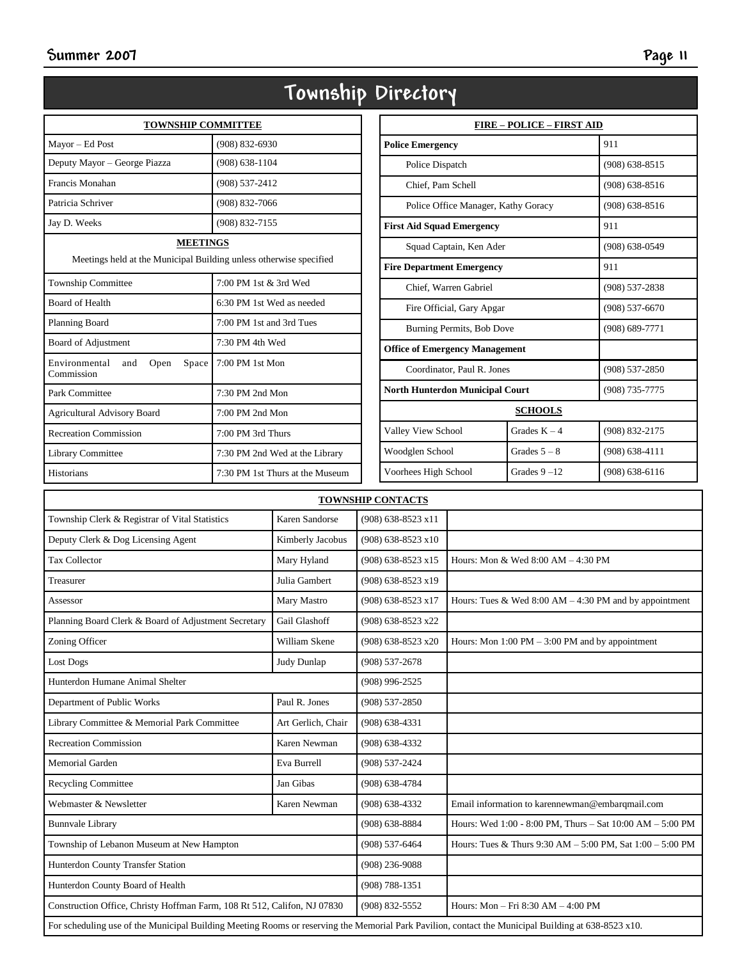|                                                                                       | 10wnsnip                        |  |  |
|---------------------------------------------------------------------------------------|---------------------------------|--|--|
| <b>TOWNSHIP COMMITTEE</b>                                                             |                                 |  |  |
| Mayor - Ed Post                                                                       | $(908) 832 - 6930$              |  |  |
| Deputy Mayor - George Piazza                                                          | $(908) 638 - 1104$              |  |  |
| Francis Monahan                                                                       | (908) 537-2412                  |  |  |
| Patricia Schriver                                                                     | $(908) 832 - 7066$              |  |  |
| Jay D. Weeks                                                                          | $(908) 832 - 7155$              |  |  |
| <b>MEETINGS</b><br>Meetings held at the Municipal Building unless otherwise specified |                                 |  |  |
| <b>Township Committee</b>                                                             | 7:00 PM 1st & 3rd Wed           |  |  |
| <b>Board of Health</b>                                                                | 6:30 PM 1st Wed as needed       |  |  |
| Planning Board                                                                        | 7:00 PM 1st and 3rd Tues        |  |  |
| Board of Adjustment                                                                   | $7:30$ PM 4th Wed               |  |  |
| Environmental<br>Open<br>Space<br>and<br>Commission                                   | $7:00$ PM 1st Mon               |  |  |
| Park Committee                                                                        | $7:30$ PM $2nd$ Mon             |  |  |
| <b>Agricultural Advisory Board</b>                                                    | $7:00$ PM $2nd$ Mon             |  |  |
| <b>Recreation Commission</b>                                                          | 7:00 PM 3rd Thurs               |  |  |
| <b>Library Committee</b>                                                              | 7:30 PM 2nd Wed at the Library  |  |  |
| <b>Historians</b>                                                                     | 7:30 PM 1st Thurs at the Museum |  |  |

|                                        | <b>FIRE – POLICE – FIRST AID</b> |                    |  |  |
|----------------------------------------|----------------------------------|--------------------|--|--|
| <b>Police Emergency</b>                |                                  | 911                |  |  |
| Police Dispatch                        |                                  |                    |  |  |
| Chief. Pam Schell                      |                                  | $(908)$ 638-8516   |  |  |
| Police Office Manager, Kathy Goracy    |                                  | $(908) 638 - 8516$ |  |  |
| <b>First Aid Squad Emergency</b>       |                                  | 911                |  |  |
| Squad Captain, Ken Ader                |                                  | $(908) 638 - 0549$ |  |  |
| <b>Fire Department Emergency</b>       |                                  | 911                |  |  |
| Chief. Warren Gabriel                  |                                  | $(908) 537 - 2838$ |  |  |
| Fire Official, Gary Apgar              |                                  | $(908) 537 - 6670$ |  |  |
| Burning Permits, Bob Dove              |                                  | $(908) 689 - 7771$ |  |  |
| <b>Office of Emergency Management</b>  |                                  |                    |  |  |
| Coordinator, Paul R. Jones             |                                  | $(908) 537 - 2850$ |  |  |
| <b>North Hunterdon Municipal Court</b> |                                  | $(908) 735 - 7775$ |  |  |
| <b>SCHOOLS</b>                         |                                  |                    |  |  |
| Valley View School                     | Grades $K - 4$                   | (908) 832-2175     |  |  |
| Woodglen School                        | Grades $5 - 8$                   | $(908) 638 - 4111$ |  |  |
| Voorhees High School                   | Grades $9 - 12$                  | $(908) 638 - 6116$ |  |  |

| <b>TOWNSHIP CONTACTS</b>                                                                                                                            |                    |                      |                                                                   |
|-----------------------------------------------------------------------------------------------------------------------------------------------------|--------------------|----------------------|-------------------------------------------------------------------|
| Township Clerk & Registrar of Vital Statistics                                                                                                      | Karen Sandorse     | (908) 638-8523 x11   |                                                                   |
| Deputy Clerk & Dog Licensing Agent                                                                                                                  | Kimberly Jacobus   | $(908)$ 638-8523 x10 |                                                                   |
| <b>Tax Collector</b>                                                                                                                                | Mary Hyland        | (908) 638-8523 x15   | Hours: Mon & Wed 8:00 AM - 4:30 PM                                |
| Treasurer                                                                                                                                           | Julia Gambert      | (908) 638-8523 x19   |                                                                   |
| Assessor                                                                                                                                            | Mary Mastro        | (908) 638-8523 x17   | Hours: Tues & Wed 8:00 AM $-$ 4:30 PM and by appointment          |
| Planning Board Clerk & Board of Adjustment Secretary                                                                                                | Gail Glashoff      | (908) 638-8523 x22   |                                                                   |
| Zoning Officer                                                                                                                                      | William Skene      | (908) 638-8523 x20   | Hours: Mon $1:00 \text{ PM} - 3:00 \text{ PM}$ and by appointment |
| <b>Lost Dogs</b>                                                                                                                                    | Judy Dunlap        | $(908) 537 - 2678$   |                                                                   |
| Hunterdon Humane Animal Shelter                                                                                                                     |                    | $(908)$ 996-2525     |                                                                   |
| Department of Public Works                                                                                                                          | Paul R. Jones      | $(908) 537 - 2850$   |                                                                   |
| Library Committee & Memorial Park Committee                                                                                                         | Art Gerlich, Chair | $(908)$ 638-4331     |                                                                   |
| <b>Recreation Commission</b>                                                                                                                        | Karen Newman       | $(908)$ 638-4332     |                                                                   |
| <b>Memorial Garden</b>                                                                                                                              | Eva Burrell        | (908) 537-2424       |                                                                   |
| <b>Recycling Committee</b>                                                                                                                          | Jan Gibas          | $(908)$ 638-4784     |                                                                   |
| Webmaster & Newsletter                                                                                                                              | Karen Newman       | $(908) 638 - 4332$   | Email information to karennewman@embarqmail.com                   |
| <b>Bunnvale Library</b>                                                                                                                             |                    | $(908) 638 - 8884$   | Hours: Wed 1:00 - 8:00 PM, Thurs - Sat 10:00 AM - 5:00 PM         |
| Township of Lebanon Museum at New Hampton                                                                                                           |                    | $(908) 537 - 6464$   | Hours: Tues & Thurs 9:30 AM - 5:00 PM, Sat 1:00 - 5:00 PM         |
| Hunterdon County Transfer Station                                                                                                                   |                    | $(908)$ 236-9088     |                                                                   |
| Hunterdon County Board of Health                                                                                                                    |                    | $(908) 788 - 1351$   |                                                                   |
| Construction Office, Christy Hoffman Farm, 108 Rt 512, Califon, NJ 07830                                                                            |                    | (908) 832-5552       | Hours: $Mon - Fri 8:30 AM - 4:00 PM$                              |
| For scheduling use of the Municipal Building Meeting Rooms or reserving the Memorial Park Pavilion, contact the Municipal Building at 638-8523 x10. |                    |                      |                                                                   |

## **Township Directory**